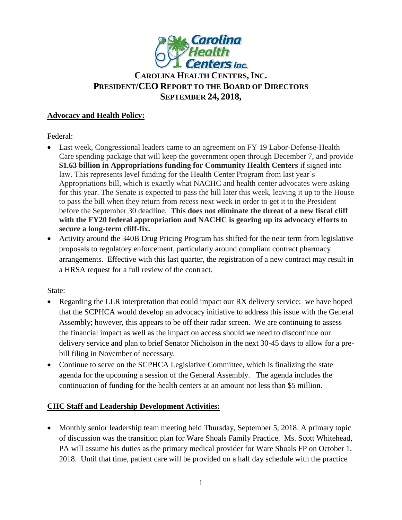

# **CAROLINA HEALTH CENTERS,INC. PRESIDENT/CEO REPORT TO THE BOARD OF DIRECTORS SEPTEMBER 24, 2018,**

### **Advocacy and Health Policy:**

Federal:

- Last week, Congressional leaders came to an agreement on FY 19 Labor-Defense-Health Care spending package that will keep the government open through December 7, and provide **\$1.63 billion in Appropriations funding for Community Health Centers** if signed into law. This represents level funding for the Health Center Program from last year's Appropriations bill, which is exactly what NACHC and health center advocates were asking for this year. The Senate is expected to pass the bill later this week, leaving it up to the House to pass the bill when they return from recess next week in order to get it to the President before the September 30 deadline. **This does not eliminate the threat of a new fiscal cliff with the FY20 federal appropriation and NACHC is gearing up its advocacy efforts to secure a long-term cliff-fix.**
- Activity around the 340B Drug Pricing Program has shifted for the near term from legislative proposals to regulatory enforcement, particularly around compliant contract pharmacy arrangements. Effective with this last quarter, the registration of a new contract may result in a HRSA request for a full review of the contract.

State:

- Regarding the LLR interpretation that could impact our RX delivery service: we have hoped that the SCPHCA would develop an advocacy initiative to address this issue with the General Assembly; however, this appears to be off their radar screen. We are continuing to assess the financial impact as well as the impact on access should we need to discontinue our delivery service and plan to brief Senator Nicholson in the next 30-45 days to allow for a prebill filing in November of necessary.
- Continue to serve on the SCPHCA Legislative Committee, which is finalizing the state agenda for the upcoming a session of the General Assembly. The agenda includes the continuation of funding for the health centers at an amount not less than \$5 million.

### **CHC Staff and Leadership Development Activities:**

• Monthly senior leadership team meeting held Thursday, September 5, 2018. A primary topic of discussion was the transition plan for Ware Shoals Family Practice. Ms. Scott Whitehead, PA will assume his duties as the primary medical provider for Ware Shoals FP on October 1, 2018. Until that time, patient care will be provided on a half day schedule with the practice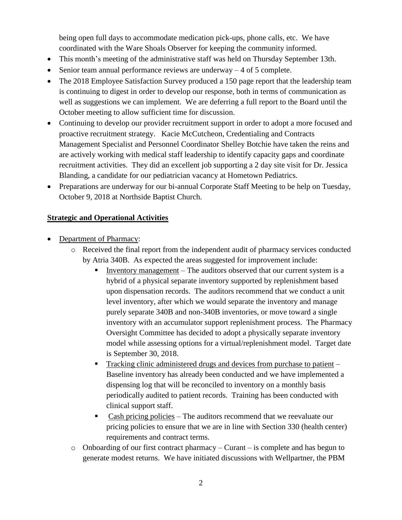being open full days to accommodate medication pick-ups, phone calls, etc. We have coordinated with the Ware Shoals Observer for keeping the community informed.

- This month's meeting of the administrative staff was held on Thursday September 13th.
- Senior team annual performance reviews are underway  $-4$  of 5 complete.
- The 2018 Employee Satisfaction Survey produced a 150 page report that the leadership team is continuing to digest in order to develop our response, both in terms of communication as well as suggestions we can implement. We are deferring a full report to the Board until the October meeting to allow sufficient time for discussion.
- Continuing to develop our provider recruitment support in order to adopt a more focused and proactive recruitment strategy. Kacie McCutcheon, Credentialing and Contracts Management Specialist and Personnel Coordinator Shelley Botchie have taken the reins and are actively working with medical staff leadership to identify capacity gaps and coordinate recruitment activities. They did an excellent job supporting a 2 day site visit for Dr. Jessica Blanding, a candidate for our pediatrician vacancy at Hometown Pediatrics.
- Preparations are underway for our bi-annual Corporate Staff Meeting to be help on Tuesday, October 9, 2018 at Northside Baptist Church.

### **Strategic and Operational Activities**

- Department of Pharmacy:
	- o Received the final report from the independent audit of pharmacy services conducted by Atria 340B. As expected the areas suggested for improvement include:
		- Inventory management The auditors observed that our current system is a hybrid of a physical separate inventory supported by replenishment based upon dispensation records. The auditors recommend that we conduct a unit level inventory, after which we would separate the inventory and manage purely separate 340B and non-340B inventories, or move toward a single inventory with an accumulator support replenishment process. The Pharmacy Oversight Committee has decided to adopt a physically separate inventory model while assessing options for a virtual/replenishment model. Target date is September 30, 2018.
		- Tracking clinic administered drugs and devices from purchase to patient Baseline inventory has already been conducted and we have implemented a dispensing log that will be reconciled to inventory on a monthly basis periodically audited to patient records. Training has been conducted with clinical support staff.
		- Cash pricing policies The auditors recommend that we reevaluate our pricing policies to ensure that we are in line with Section 330 (health center) requirements and contract terms.
	- o Onboarding of our first contract pharmacy Curant is complete and has begun to generate modest returns. We have initiated discussions with Wellpartner, the PBM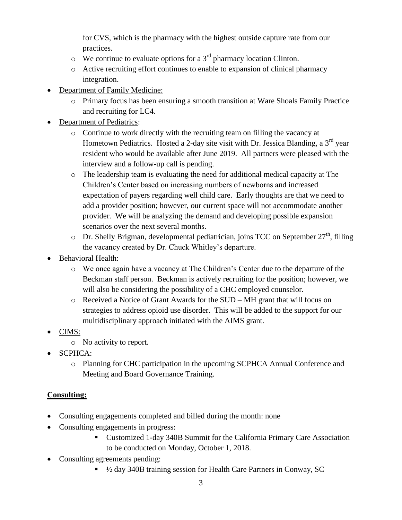for CVS, which is the pharmacy with the highest outside capture rate from our practices.

- $\circ$  We continue to evaluate options for a 3<sup>rd</sup> pharmacy location Clinton.
- o Active recruiting effort continues to enable to expansion of clinical pharmacy integration.
- Department of Family Medicine:
	- o Primary focus has been ensuring a smooth transition at Ware Shoals Family Practice and recruiting for LC4.
- Department of Pediatrics:
	- $\circ$  Continue to work directly with the recruiting team on filling the vacancy at Hometown Pediatrics. Hosted a 2-day site visit with Dr. Jessica Blanding, a  $3<sup>rd</sup>$  year resident who would be available after June 2019. All partners were pleased with the interview and a follow-up call is pending.
	- o The leadership team is evaluating the need for additional medical capacity at The Children's Center based on increasing numbers of newborns and increased expectation of payers regarding well child care. Early thoughts are that we need to add a provider position; however, our current space will not accommodate another provider. We will be analyzing the demand and developing possible expansion scenarios over the next several months.
	- $\circ$  Dr. Shelly Brigman, developmental pediatrician, joins TCC on September 27<sup>th</sup>, filling the vacancy created by Dr. Chuck Whitley's departure.
- Behavioral Health:
	- o We once again have a vacancy at The Children's Center due to the departure of the Beckman staff person. Beckman is actively recruiting for the position; however, we will also be considering the possibility of a CHC employed counselor.
	- o Received a Notice of Grant Awards for the SUD MH grant that will focus on strategies to address opioid use disorder. This will be added to the support for our multidisciplinary approach initiated with the AIMS grant.
- CIMS:
	- o No activity to report.
- SCPHCA:
	- o Planning for CHC participation in the upcoming SCPHCA Annual Conference and Meeting and Board Governance Training.

## **Consulting:**

- Consulting engagements completed and billed during the month: none
- Consulting engagements in progress:
	- Customized 1-day 340B Summit for the California Primary Care Association to be conducted on Monday, October 1, 2018.
- Consulting agreements pending:
	- $\blacksquare$   $\frac{1}{2}$  day 340B training session for Health Care Partners in Conway, SC